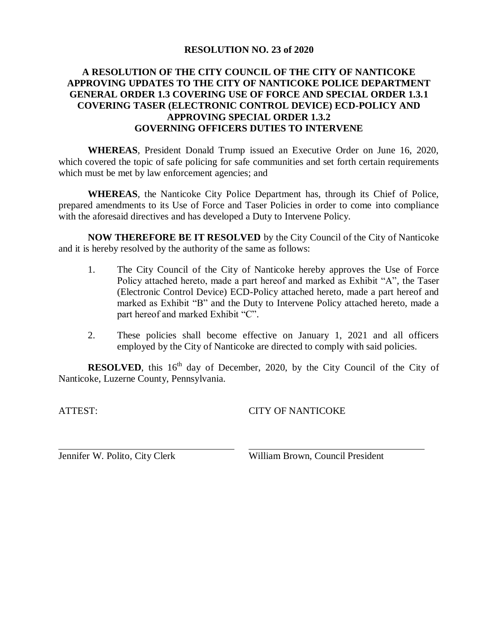#### **RESOLUTION NO. 23 of 2020**

### **A RESOLUTION OF THE CITY COUNCIL OF THE CITY OF NANTICOKE APPROVING UPDATES TO THE CITY OF NANTICOKE POLICE DEPARTMENT GENERAL ORDER 1.3 COVERING USE OF FORCE AND SPECIAL ORDER 1.3.1 COVERING TASER (ELECTRONIC CONTROL DEVICE) ECD-POLICY AND APPROVING SPECIAL ORDER 1.3.2 GOVERNING OFFICERS DUTIES TO INTERVENE**

**WHEREAS**, President Donald Trump issued an Executive Order on June 16, 2020, which covered the topic of safe policing for safe communities and set forth certain requirements which must be met by law enforcement agencies; and

**WHEREAS**, the Nanticoke City Police Department has, through its Chief of Police, prepared amendments to its Use of Force and Taser Policies in order to come into compliance with the aforesaid directives and has developed a Duty to Intervene Policy.

**NOW THEREFORE BE IT RESOLVED** by the City Council of the City of Nanticoke and it is hereby resolved by the authority of the same as follows:

- 1. The City Council of the City of Nanticoke hereby approves the Use of Force Policy attached hereto, made a part hereof and marked as Exhibit "A", the Taser (Electronic Control Device) ECD-Policy attached hereto, made a part hereof and marked as Exhibit "B" and the Duty to Intervene Policy attached hereto, made a part hereof and marked Exhibit "C".
- 2. These policies shall become effective on January 1, 2021 and all officers employed by the City of Nanticoke are directed to comply with said policies.

**RESOLVED**, this  $16<sup>th</sup>$  day of December, 2020, by the City Council of the City of Nanticoke, Luzerne County, Pennsylvania.

ATTEST:

CITY OF NANTICOKE

Jennifer W. Polito, City Clerk

William Brown, Council President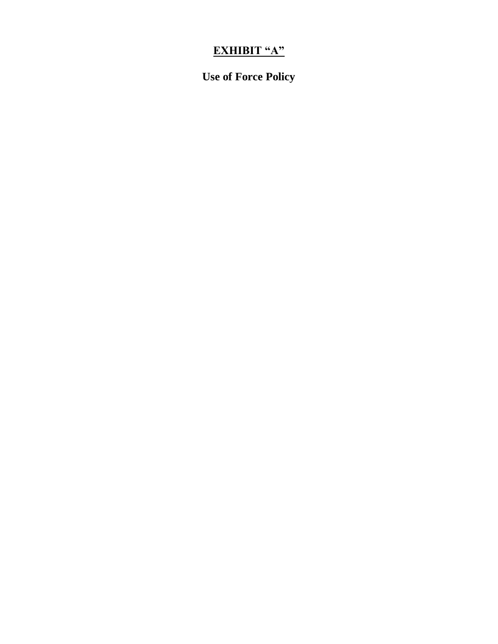# **EXHIBIT "A"**

**Use of Force Policy**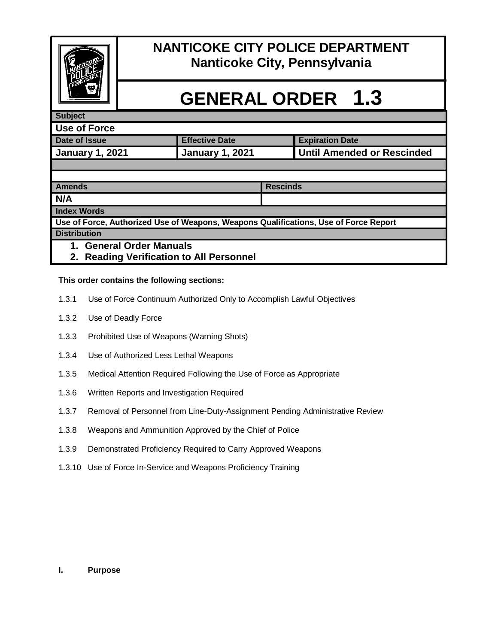

# **NANTICOKE CITY POLICE DEPARTMENT Nanticoke City, Pennsylvania**

# **GENERAL ORDER 1.3**

### **Subject**

| Use of Force           |                        |                            |
|------------------------|------------------------|----------------------------|
| Date of Issue          | <b>Effective Date</b>  | <b>Expiration Date</b>     |
| <b>January 1, 2021</b> | <b>January 1, 2021</b> | Until Amended or Rescinded |
|                        |                        |                            |

| <b>Amends</b>                                                                        | <b>Rescinds</b> |  |  |
|--------------------------------------------------------------------------------------|-----------------|--|--|
| N/A                                                                                  |                 |  |  |
| <b>Index Words</b>                                                                   |                 |  |  |
| Use of Force, Authorized Use of Weapons, Weapons Qualifications, Use of Force Report |                 |  |  |
| <b>Distribution</b>                                                                  |                 |  |  |
| <b>General Order Manuals</b><br>1.                                                   |                 |  |  |
| 2. Reading Verification to All Personnel                                             |                 |  |  |

## **This order contains the following sections:**

- 1.3.1 Use of Force Continuum Authorized Only to Accomplish Lawful Objectives
- 1.3.2 Use of Deadly Force
- 1.3.3 Prohibited Use of Weapons (Warning Shots)
- 1.3.4 Use of Authorized Less Lethal Weapons
- 1.3.5 Medical Attention Required Following the Use of Force as Appropriate
- 1.3.6 Written Reports and Investigation Required
- 1.3.7 Removal of Personnel from Line-Duty-Assignment Pending Administrative Review
- 1.3.8 Weapons and Ammunition Approved by the Chief of Police
- 1.3.9 Demonstrated Proficiency Required to Carry Approved Weapons
- 1.3.10 Use of Force In-Service and Weapons Proficiency Training

#### **I. Purpose**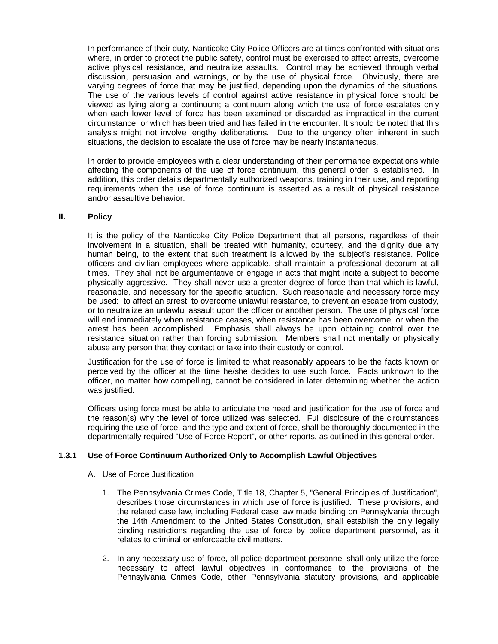In performance of their duty, Nanticoke City Police Officers are at times confronted with situations where, in order to protect the public safety, control must be exercised to affect arrests, overcome active physical resistance, and neutralize assaults. Control may be achieved through verbal discussion, persuasion and warnings, or by the use of physical force. Obviously, there are varying degrees of force that may be justified, depending upon the dynamics of the situations. The use of the various levels of control against active resistance in physical force should be viewed as lying along a continuum; a continuum along which the use of force escalates only when each lower level of force has been examined or discarded as impractical in the current circumstance, or which has been tried and has failed in the encounter. It should be noted that this analysis might not involve lengthy deliberations. Due to the urgency often inherent in such situations, the decision to escalate the use of force may be nearly instantaneous.

In order to provide employees with a clear understanding of their performance expectations while affecting the components of the use of force continuum, this general order is established. In addition, this order details departmentally authorized weapons, training in their use, and reporting requirements when the use of force continuum is asserted as a result of physical resistance and/or assaultive behavior.

#### **II. Policy**

It is the policy of the Nanticoke City Police Department that all persons, regardless of their involvement in a situation, shall be treated with humanity, courtesy, and the dignity due any human being, to the extent that such treatment is allowed by the subject's resistance. Police officers and civilian employees where applicable, shall maintain a professional decorum at all times. They shall not be argumentative or engage in acts that might incite a subject to become physically aggressive. They shall never use a greater degree of force than that which is lawful, reasonable, and necessary for the specific situation. Such reasonable and necessary force may be used: to affect an arrest, to overcome unlawful resistance, to prevent an escape from custody, or to neutralize an unlawful assault upon the officer or another person. The use of physical force will end immediately when resistance ceases, when resistance has been overcome, or when the arrest has been accomplished. Emphasis shall always be upon obtaining control over the resistance situation rather than forcing submission. Members shall not mentally or physically abuse any person that they contact or take into their custody or control.

Justification for the use of force is limited to what reasonably appears to be the facts known or perceived by the officer at the time he/she decides to use such force. Facts unknown to the officer, no matter how compelling, cannot be considered in later determining whether the action was justified.

Officers using force must be able to articulate the need and justification for the use of force and the reason(s) why the level of force utilized was selected. Full disclosure of the circumstances requiring the use of force, and the type and extent of force, shall be thoroughly documented in the departmentally required "Use of Force Report", or other reports, as outlined in this general order.

#### **1.3.1 Use of Force Continuum Authorized Only to Accomplish Lawful Objectives**

- A. Use of Force Justification
	- 1. The Pennsylvania Crimes Code, Title 18, Chapter 5, "General Principles of Justification", describes those circumstances in which use of force is justified. These provisions, and the related case law, including Federal case law made binding on Pennsylvania through the 14th Amendment to the United States Constitution, shall establish the only legally binding restrictions regarding the use of force by police department personnel, as it relates to criminal or enforceable civil matters.
	- 2. In any necessary use of force, all police department personnel shall only utilize the force necessary to affect lawful objectives in conformance to the provisions of the Pennsylvania Crimes Code, other Pennsylvania statutory provisions, and applicable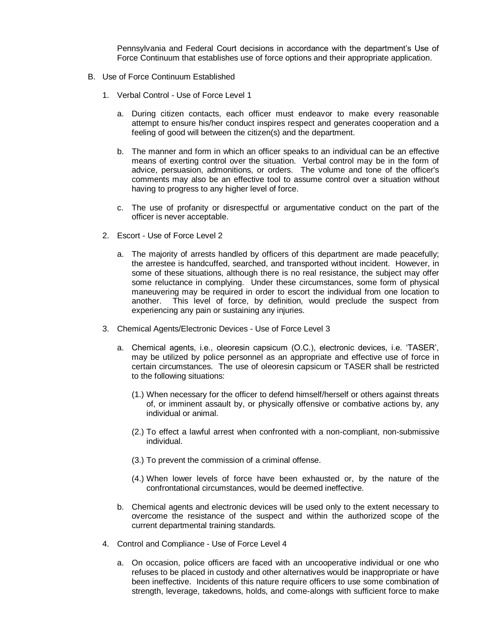Pennsylvania and Federal Court decisions in accordance with the department's Use of Force Continuum that establishes use of force options and their appropriate application.

- B. Use of Force Continuum Established
	- 1. Verbal Control Use of Force Level 1
		- a. During citizen contacts, each officer must endeavor to make every reasonable attempt to ensure his/her conduct inspires respect and generates cooperation and a feeling of good will between the citizen(s) and the department.
		- b. The manner and form in which an officer speaks to an individual can be an effective means of exerting control over the situation. Verbal control may be in the form of advice, persuasion, admonitions, or orders. The volume and tone of the officer's comments may also be an effective tool to assume control over a situation without having to progress to any higher level of force.
		- c. The use of profanity or disrespectful or argumentative conduct on the part of the officer is never acceptable.
	- 2. Escort Use of Force Level 2
		- a. The majority of arrests handled by officers of this department are made peacefully; the arrestee is handcuffed, searched, and transported without incident. However, in some of these situations, although there is no real resistance, the subject may offer some reluctance in complying. Under these circumstances, some form of physical maneuvering may be required in order to escort the individual from one location to another. This level of force, by definition, would preclude the suspect from experiencing any pain or sustaining any injuries.
	- 3. Chemical Agents/Electronic Devices Use of Force Level 3
		- a. Chemical agents, i.e., oleoresin capsicum (O.C.), electronic devices, i.e. 'TASER', may be utilized by police personnel as an appropriate and effective use of force in certain circumstances. The use of oleoresin capsicum or TASER shall be restricted to the following situations:
			- (1.) When necessary for the officer to defend himself/herself or others against threats of, or imminent assault by, or physically offensive or combative actions by, any individual or animal.
			- (2.) To effect a lawful arrest when confronted with a non-compliant, non-submissive individual.
			- (3.) To prevent the commission of a criminal offense.
			- (4.) When lower levels of force have been exhausted or, by the nature of the confrontational circumstances, would be deemed ineffective.
		- b. Chemical agents and electronic devices will be used only to the extent necessary to overcome the resistance of the suspect and within the authorized scope of the current departmental training standards.
	- 4. Control and Compliance Use of Force Level 4
		- a. On occasion, police officers are faced with an uncooperative individual or one who refuses to be placed in custody and other alternatives would be inappropriate or have been ineffective. Incidents of this nature require officers to use some combination of strength, leverage, takedowns, holds, and come-alongs with sufficient force to make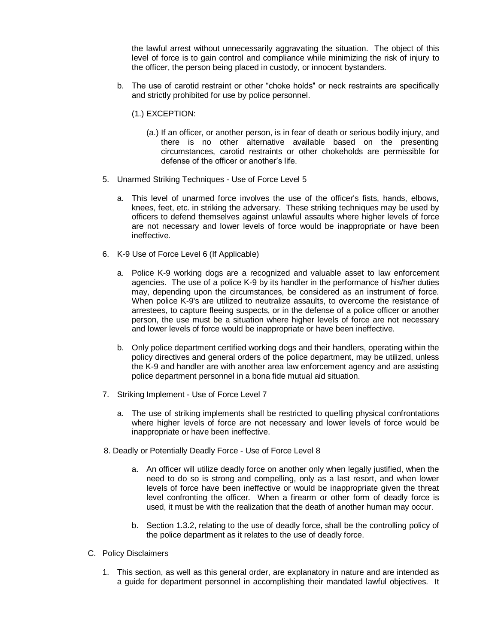the lawful arrest without unnecessarily aggravating the situation. The object of this level of force is to gain control and compliance while minimizing the risk of injury to the officer, the person being placed in custody, or innocent bystanders.

- b. The use of carotid restraint or other "choke holds" or neck restraints are specifically and strictly prohibited for use by police personnel.
	- (1.) EXCEPTION:
		- (a.) If an officer, or another person, is in fear of death or serious bodily injury, and there is no other alternative available based on the presenting circumstances, carotid restraints or other chokeholds are permissible for defense of the officer or another's life.
- 5. Unarmed Striking Techniques Use of Force Level 5
	- a. This level of unarmed force involves the use of the officer's fists, hands, elbows, knees, feet, etc. in striking the adversary. These striking techniques may be used by officers to defend themselves against unlawful assaults where higher levels of force are not necessary and lower levels of force would be inappropriate or have been ineffective.
- 6. K-9 Use of Force Level 6 (If Applicable)
	- a. Police K-9 working dogs are a recognized and valuable asset to law enforcement agencies. The use of a police K-9 by its handler in the performance of his/her duties may, depending upon the circumstances, be considered as an instrument of force. When police K-9's are utilized to neutralize assaults, to overcome the resistance of arrestees, to capture fleeing suspects, or in the defense of a police officer or another person, the use must be a situation where higher levels of force are not necessary and lower levels of force would be inappropriate or have been ineffective.
	- b. Only police department certified working dogs and their handlers, operating within the policy directives and general orders of the police department, may be utilized, unless the K-9 and handler are with another area law enforcement agency and are assisting police department personnel in a bona fide mutual aid situation.
- 7. Striking Implement Use of Force Level 7
	- a. The use of striking implements shall be restricted to quelling physical confrontations where higher levels of force are not necessary and lower levels of force would be inappropriate or have been ineffective.
- 8. Deadly or Potentially Deadly Force Use of Force Level 8
	- a. An officer will utilize deadly force on another only when legally justified, when the need to do so is strong and compelling, only as a last resort, and when lower levels of force have been ineffective or would be inappropriate given the threat level confronting the officer. When a firearm or other form of deadly force is used, it must be with the realization that the death of another human may occur.
	- b. Section 1.3.2, relating to the use of deadly force, shall be the controlling policy of the police department as it relates to the use of deadly force.
- C. Policy Disclaimers
	- 1. This section, as well as this general order, are explanatory in nature and are intended as a guide for department personnel in accomplishing their mandated lawful objectives. It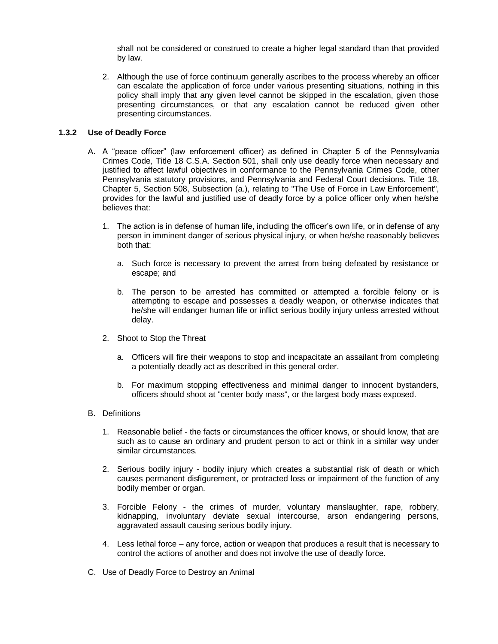shall not be considered or construed to create a higher legal standard than that provided by law.

2. Although the use of force continuum generally ascribes to the process whereby an officer can escalate the application of force under various presenting situations, nothing in this policy shall imply that any given level cannot be skipped in the escalation, given those presenting circumstances, or that any escalation cannot be reduced given other presenting circumstances.

#### **1.3.2 Use of Deadly Force**

- A. A "peace officer" (law enforcement officer) as defined in Chapter 5 of the Pennsylvania Crimes Code, Title 18 C.S.A. Section 501, shall only use deadly force when necessary and justified to affect lawful objectives in conformance to the Pennsylvania Crimes Code, other Pennsylvania statutory provisions, and Pennsylvania and Federal Court decisions. Title 18, Chapter 5, Section 508, Subsection (a.), relating to "The Use of Force in Law Enforcement", provides for the lawful and justified use of deadly force by a police officer only when he/she believes that:
	- 1. The action is in defense of human life, including the officer's own life, or in defense of any person in imminent danger of serious physical injury, or when he/she reasonably believes both that:
		- a. Such force is necessary to prevent the arrest from being defeated by resistance or escape; and
		- b. The person to be arrested has committed or attempted a forcible felony or is attempting to escape and possesses a deadly weapon, or otherwise indicates that he/she will endanger human life or inflict serious bodily injury unless arrested without delay.
	- 2. Shoot to Stop the Threat
		- a. Officers will fire their weapons to stop and incapacitate an assailant from completing a potentially deadly act as described in this general order.
		- b. For maximum stopping effectiveness and minimal danger to innocent bystanders, officers should shoot at "center body mass", or the largest body mass exposed.
- B. Definitions
	- 1. Reasonable belief the facts or circumstances the officer knows, or should know, that are such as to cause an ordinary and prudent person to act or think in a similar way under similar circumstances.
	- 2. Serious bodily injury bodily injury which creates a substantial risk of death or which causes permanent disfigurement, or protracted loss or impairment of the function of any bodily member or organ.
	- 3. Forcible Felony the crimes of murder, voluntary manslaughter, rape, robbery, kidnapping, involuntary deviate sexual intercourse, arson endangering persons, aggravated assault causing serious bodily injury.
	- 4. Less lethal force any force, action or weapon that produces a result that is necessary to control the actions of another and does not involve the use of deadly force.
- C. Use of Deadly Force to Destroy an Animal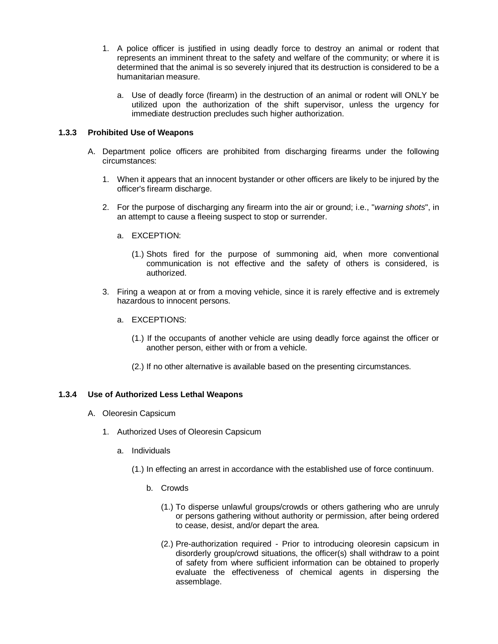- 1. A police officer is justified in using deadly force to destroy an animal or rodent that represents an imminent threat to the safety and welfare of the community; or where it is determined that the animal is so severely injured that its destruction is considered to be a humanitarian measure.
	- a. Use of deadly force (firearm) in the destruction of an animal or rodent will ONLY be utilized upon the authorization of the shift supervisor, unless the urgency for immediate destruction precludes such higher authorization.

#### **1.3.3 Prohibited Use of Weapons**

- A. Department police officers are prohibited from discharging firearms under the following circumstances:
	- 1. When it appears that an innocent bystander or other officers are likely to be injured by the officer's firearm discharge.
	- 2. For the purpose of discharging any firearm into the air or ground; i.e., "*warning shots*", in an attempt to cause a fleeing suspect to stop or surrender.
		- a. EXCEPTION:
			- (1.) Shots fired for the purpose of summoning aid, when more conventional communication is not effective and the safety of others is considered, is authorized.
	- 3. Firing a weapon at or from a moving vehicle, since it is rarely effective and is extremely hazardous to innocent persons.
		- a. EXCEPTIONS:
			- (1.) If the occupants of another vehicle are using deadly force against the officer or another person, either with or from a vehicle.
			- (2.) If no other alternative is available based on the presenting circumstances.

#### **1.3.4 Use of Authorized Less Lethal Weapons**

- A. Oleoresin Capsicum
	- 1. Authorized Uses of Oleoresin Capsicum
		- a. Individuals
			- (1.) In effecting an arrest in accordance with the established use of force continuum.
				- b. Crowds
					- (1.) To disperse unlawful groups/crowds or others gathering who are unruly or persons gathering without authority or permission, after being ordered to cease, desist, and/or depart the area.
					- (2.) Pre-authorization required Prior to introducing oleoresin capsicum in disorderly group/crowd situations, the officer(s) shall withdraw to a point of safety from where sufficient information can be obtained to properly evaluate the effectiveness of chemical agents in dispersing the assemblage.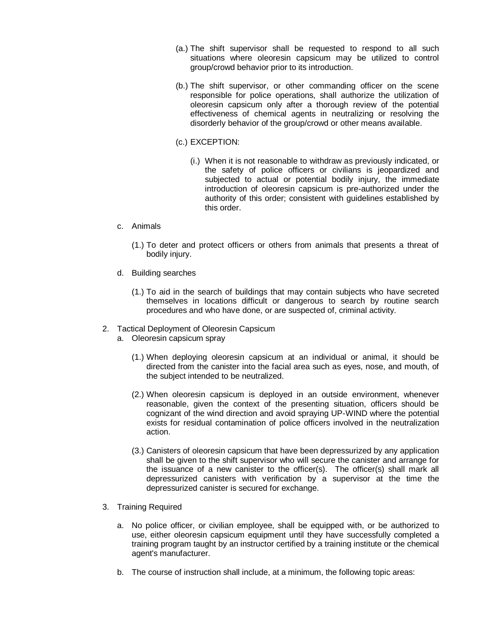- (a.) The shift supervisor shall be requested to respond to all such situations where oleoresin capsicum may be utilized to control group/crowd behavior prior to its introduction.
- (b.) The shift supervisor, or other commanding officer on the scene responsible for police operations, shall authorize the utilization of oleoresin capsicum only after a thorough review of the potential effectiveness of chemical agents in neutralizing or resolving the disorderly behavior of the group/crowd or other means available.
- (c.) EXCEPTION:
	- (i.) When it is not reasonable to withdraw as previously indicated, or the safety of police officers or civilians is jeopardized and subjected to actual or potential bodily injury, the immediate introduction of oleoresin capsicum is pre-authorized under the authority of this order; consistent with guidelines established by this order.
- c. Animals
	- (1.) To deter and protect officers or others from animals that presents a threat of bodily injury.
- d. Building searches
	- (1.) To aid in the search of buildings that may contain subjects who have secreted themselves in locations difficult or dangerous to search by routine search procedures and who have done, or are suspected of, criminal activity.
- 2. Tactical Deployment of Oleoresin Capsicum
	- a. Oleoresin capsicum spray
		- (1.) When deploying oleoresin capsicum at an individual or animal, it should be directed from the canister into the facial area such as eyes, nose, and mouth, of the subject intended to be neutralized.
		- (2.) When oleoresin capsicum is deployed in an outside environment, whenever reasonable, given the context of the presenting situation, officers should be cognizant of the wind direction and avoid spraying UP-WIND where the potential exists for residual contamination of police officers involved in the neutralization action.
		- (3.) Canisters of oleoresin capsicum that have been depressurized by any application shall be given to the shift supervisor who will secure the canister and arrange for the issuance of a new canister to the officer(s). The officer(s) shall mark all depressurized canisters with verification by a supervisor at the time the depressurized canister is secured for exchange.
- 3. Training Required
	- a. No police officer, or civilian employee, shall be equipped with, or be authorized to use, either oleoresin capsicum equipment until they have successfully completed a training program taught by an instructor certified by a training institute or the chemical agent's manufacturer.
	- b. The course of instruction shall include, at a minimum, the following topic areas: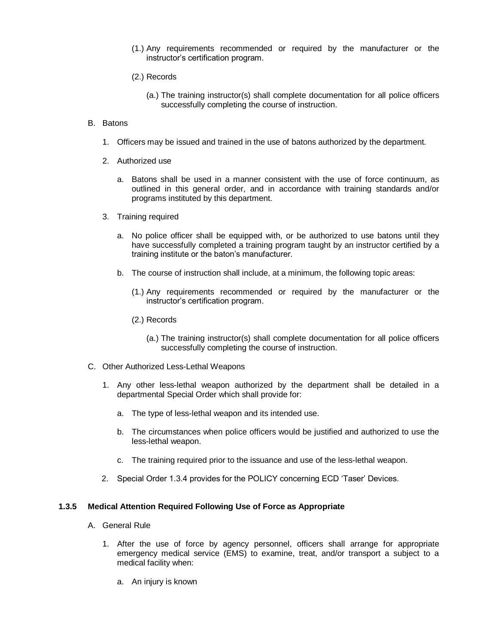- (1.) Any requirements recommended or required by the manufacturer or the instructor's certification program.
- (2.) Records
	- (a.) The training instructor(s) shall complete documentation for all police officers successfully completing the course of instruction.
- B. Batons
	- 1. Officers may be issued and trained in the use of batons authorized by the department.
	- 2. Authorized use
		- a. Batons shall be used in a manner consistent with the use of force continuum, as outlined in this general order, and in accordance with training standards and/or programs instituted by this department.
	- 3. Training required
		- a. No police officer shall be equipped with, or be authorized to use batons until they have successfully completed a training program taught by an instructor certified by a training institute or the baton's manufacturer.
		- b. The course of instruction shall include, at a minimum, the following topic areas:
			- (1.) Any requirements recommended or required by the manufacturer or the instructor's certification program.
			- (2.) Records
				- (a.) The training instructor(s) shall complete documentation for all police officers successfully completing the course of instruction.
- C. Other Authorized Less-Lethal Weapons
	- 1. Any other less-lethal weapon authorized by the department shall be detailed in a departmental Special Order which shall provide for:
		- a. The type of less-lethal weapon and its intended use.
		- b. The circumstances when police officers would be justified and authorized to use the less-lethal weapon.
		- c. The training required prior to the issuance and use of the less-lethal weapon.
	- 2. Special Order 1.3.4 provides for the POLICY concerning ECD 'Taser' Devices.

#### **1.3.5 Medical Attention Required Following Use of Force as Appropriate**

- A. General Rule
	- 1. After the use of force by agency personnel, officers shall arrange for appropriate emergency medical service (EMS) to examine, treat, and/or transport a subject to a medical facility when:
		- a. An injury is known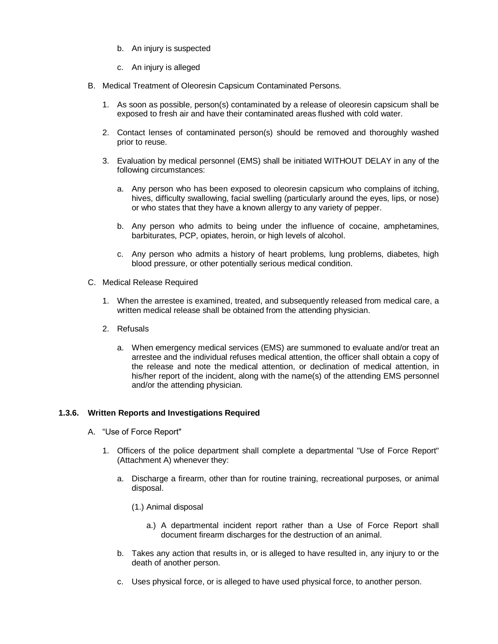- b. An injury is suspected
- c. An injury is alleged
- B. Medical Treatment of Oleoresin Capsicum Contaminated Persons.
	- 1. As soon as possible, person(s) contaminated by a release of oleoresin capsicum shall be exposed to fresh air and have their contaminated areas flushed with cold water.
	- 2. Contact lenses of contaminated person(s) should be removed and thoroughly washed prior to reuse.
	- 3. Evaluation by medical personnel (EMS) shall be initiated WITHOUT DELAY in any of the following circumstances:
		- a. Any person who has been exposed to oleoresin capsicum who complains of itching, hives, difficulty swallowing, facial swelling (particularly around the eyes, lips, or nose) or who states that they have a known allergy to any variety of pepper.
		- b. Any person who admits to being under the influence of cocaine, amphetamines, barbiturates, PCP, opiates, heroin, or high levels of alcohol.
		- c. Any person who admits a history of heart problems, lung problems, diabetes, high blood pressure, or other potentially serious medical condition.
- C. Medical Release Required
	- 1. When the arrestee is examined, treated, and subsequently released from medical care, a written medical release shall be obtained from the attending physician.
	- 2. Refusals
		- a. When emergency medical services (EMS) are summoned to evaluate and/or treat an arrestee and the individual refuses medical attention, the officer shall obtain a copy of the release and note the medical attention, or declination of medical attention, in his/her report of the incident, along with the name(s) of the attending EMS personnel and/or the attending physician.

#### **1.3.6. Written Reports and Investigations Required**

- A. "Use of Force Report"
	- 1. Officers of the police department shall complete a departmental "Use of Force Report" (Attachment A) whenever they:
		- a. Discharge a firearm, other than for routine training, recreational purposes, or animal disposal.
			- (1.) Animal disposal
				- a.) A departmental incident report rather than a Use of Force Report shall document firearm discharges for the destruction of an animal.
		- b. Takes any action that results in, or is alleged to have resulted in, any injury to or the death of another person.
		- c. Uses physical force, or is alleged to have used physical force, to another person.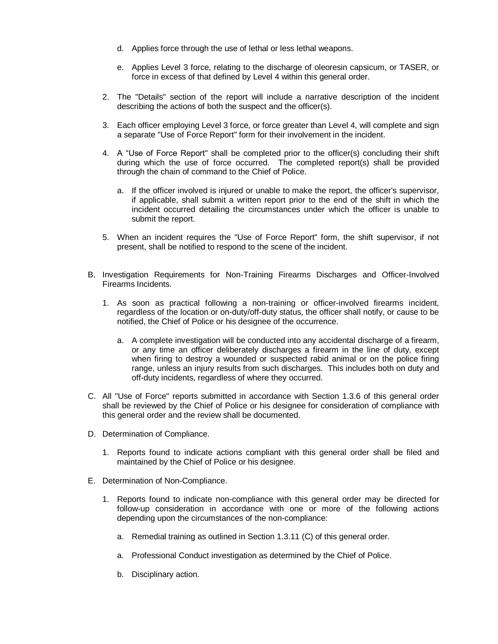- d. Applies force through the use of lethal or less lethal weapons.
- e. Applies Level 3 force, relating to the discharge of oleoresin capsicum, or TASER, or force in excess of that defined by Level 4 within this general order.
- 2. The "Details" section of the report will include a narrative description of the incident describing the actions of both the suspect and the officer(s).
- 3. Each officer employing Level 3 force, or force greater than Level 4, will complete and sign a separate "Use of Force Report" form for their involvement in the incident.
- 4. A "Use of Force Report" shall be completed prior to the officer(s) concluding their shift during which the use of force occurred. The completed report(s) shall be provided through the chain of command to the Chief of Police.
	- a. If the officer involved is injured or unable to make the report, the officer's supervisor, if applicable, shall submit a written report prior to the end of the shift in which the incident occurred detailing the circumstances under which the officer is unable to submit the report.
- 5. When an incident requires the "Use of Force Report" form, the shift supervisor, if not present, shall be notified to respond to the scene of the incident.
- B. Investigation Requirements for Non-Training Firearms Discharges and Officer-Involved Firearms Incidents.
	- 1. As soon as practical following a non-training or officer-involved firearms incident, regardless of the location or on-duty/off-duty status, the officer shall notify, or cause to be notified, the Chief of Police or his designee of the occurrence.
		- a. A complete investigation will be conducted into any accidental discharge of a firearm, or any time an officer deliberately discharges a firearm in the line of duty, except when firing to destroy a wounded or suspected rabid animal or on the police firing range, unless an injury results from such discharges. This includes both on duty and off-duty incidents, regardless of where they occurred.
- C. All "Use of Force" reports submitted in accordance with Section 1.3.6 of this general order shall be reviewed by the Chief of Police or his designee for consideration of compliance with this general order and the review shall be documented.
- D. Determination of Compliance.
	- 1. Reports found to indicate actions compliant with this general order shall be filed and maintained by the Chief of Police or his designee.
- E. Determination of Non-Compliance.
	- 1. Reports found to indicate non-compliance with this general order may be directed for follow-up consideration in accordance with one or more of the following actions depending upon the circumstances of the non-compliance:
		- a. Remedial training as outlined in Section 1.3.11 (C) of this general order.
		- a. Professional Conduct investigation as determined by the Chief of Police.
		- b. Disciplinary action.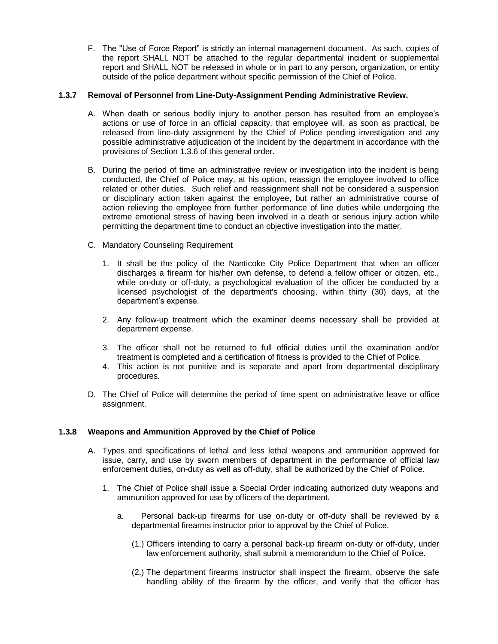F. The "Use of Force Report" is strictly an internal management document. As such, copies of the report SHALL NOT be attached to the regular departmental incident or supplemental report and SHALL NOT be released in whole or in part to any person, organization, or entity outside of the police department without specific permission of the Chief of Police.

#### **1.3.7 Removal of Personnel from Line-Duty-Assignment Pending Administrative Review.**

- A. When death or serious bodily injury to another person has resulted from an employee's actions or use of force in an official capacity, that employee will, as soon as practical, be released from line-duty assignment by the Chief of Police pending investigation and any possible administrative adjudication of the incident by the department in accordance with the provisions of Section 1.3.6 of this general order.
- B. During the period of time an administrative review or investigation into the incident is being conducted, the Chief of Police may, at his option, reassign the employee involved to office related or other duties. Such relief and reassignment shall not be considered a suspension or disciplinary action taken against the employee, but rather an administrative course of action relieving the employee from further performance of line duties while undergoing the extreme emotional stress of having been involved in a death or serious injury action while permitting the department time to conduct an objective investigation into the matter.
- C. Mandatory Counseling Requirement
	- 1. It shall be the policy of the Nanticoke City Police Department that when an officer discharges a firearm for his/her own defense, to defend a fellow officer or citizen, etc., while on-duty or off-duty, a psychological evaluation of the officer be conducted by a licensed psychologist of the department's choosing, within thirty (30) days, at the department's expense.
	- 2. Any follow-up treatment which the examiner deems necessary shall be provided at department expense.
	- 3. The officer shall not be returned to full official duties until the examination and/or treatment is completed and a certification of fitness is provided to the Chief of Police.
	- 4. This action is not punitive and is separate and apart from departmental disciplinary procedures.
- D. The Chief of Police will determine the period of time spent on administrative leave or office assignment.

#### **1.3.8 Weapons and Ammunition Approved by the Chief of Police**

- A. Types and specifications of lethal and less lethal weapons and ammunition approved for issue, carry, and use by sworn members of department in the performance of official law enforcement duties, on-duty as well as off-duty, shall be authorized by the Chief of Police.
	- 1. The Chief of Police shall issue a Special Order indicating authorized duty weapons and ammunition approved for use by officers of the department.
		- a. Personal back-up firearms for use on-duty or off-duty shall be reviewed by a departmental firearms instructor prior to approval by the Chief of Police.
			- (1.) Officers intending to carry a personal back-up firearm on-duty or off-duty, under law enforcement authority, shall submit a memorandum to the Chief of Police.
			- (2.) The department firearms instructor shall inspect the firearm, observe the safe handling ability of the firearm by the officer, and verify that the officer has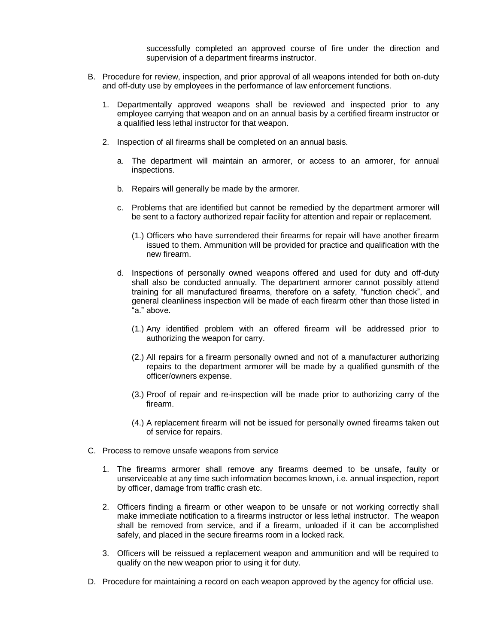successfully completed an approved course of fire under the direction and supervision of a department firearms instructor.

- B. Procedure for review, inspection, and prior approval of all weapons intended for both on-duty and off-duty use by employees in the performance of law enforcement functions.
	- 1. Departmentally approved weapons shall be reviewed and inspected prior to any employee carrying that weapon and on an annual basis by a certified firearm instructor or a qualified less lethal instructor for that weapon.
	- 2. Inspection of all firearms shall be completed on an annual basis.
		- a. The department will maintain an armorer, or access to an armorer, for annual inspections.
		- b. Repairs will generally be made by the armorer.
		- c. Problems that are identified but cannot be remedied by the department armorer will be sent to a factory authorized repair facility for attention and repair or replacement.
			- (1.) Officers who have surrendered their firearms for repair will have another firearm issued to them. Ammunition will be provided for practice and qualification with the new firearm.
		- d. Inspections of personally owned weapons offered and used for duty and off-duty shall also be conducted annually. The department armorer cannot possibly attend training for all manufactured firearms, therefore on a safety, "function check", and general cleanliness inspection will be made of each firearm other than those listed in "a." above.
			- (1.) Any identified problem with an offered firearm will be addressed prior to authorizing the weapon for carry.
			- (2.) All repairs for a firearm personally owned and not of a manufacturer authorizing repairs to the department armorer will be made by a qualified gunsmith of the officer/owners expense.
			- (3.) Proof of repair and re-inspection will be made prior to authorizing carry of the firearm.
			- (4.) A replacement firearm will not be issued for personally owned firearms taken out of service for repairs.
- C. Process to remove unsafe weapons from service
	- 1. The firearms armorer shall remove any firearms deemed to be unsafe, faulty or unserviceable at any time such information becomes known, i.e. annual inspection, report by officer, damage from traffic crash etc.
	- 2. Officers finding a firearm or other weapon to be unsafe or not working correctly shall make immediate notification to a firearms instructor or less lethal instructor. The weapon shall be removed from service, and if a firearm, unloaded if it can be accomplished safely, and placed in the secure firearms room in a locked rack.
	- 3. Officers will be reissued a replacement weapon and ammunition and will be required to qualify on the new weapon prior to using it for duty.
- D. Procedure for maintaining a record on each weapon approved by the agency for official use.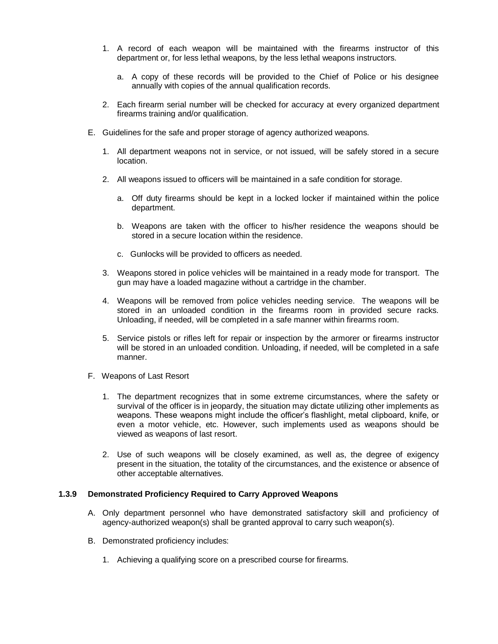- 1. A record of each weapon will be maintained with the firearms instructor of this department or, for less lethal weapons, by the less lethal weapons instructors.
	- a. A copy of these records will be provided to the Chief of Police or his designee annually with copies of the annual qualification records.
- 2. Each firearm serial number will be checked for accuracy at every organized department firearms training and/or qualification.
- E. Guidelines for the safe and proper storage of agency authorized weapons.
	- 1. All department weapons not in service, or not issued, will be safely stored in a secure location.
	- 2. All weapons issued to officers will be maintained in a safe condition for storage.
		- a. Off duty firearms should be kept in a locked locker if maintained within the police department.
		- b. Weapons are taken with the officer to his/her residence the weapons should be stored in a secure location within the residence.
		- c. Gunlocks will be provided to officers as needed.
	- 3. Weapons stored in police vehicles will be maintained in a ready mode for transport. The gun may have a loaded magazine without a cartridge in the chamber.
	- 4. Weapons will be removed from police vehicles needing service. The weapons will be stored in an unloaded condition in the firearms room in provided secure racks. Unloading, if needed, will be completed in a safe manner within firearms room.
	- 5. Service pistols or rifles left for repair or inspection by the armorer or firearms instructor will be stored in an unloaded condition. Unloading, if needed, will be completed in a safe manner.
- F. Weapons of Last Resort
	- 1. The department recognizes that in some extreme circumstances, where the safety or survival of the officer is in jeopardy, the situation may dictate utilizing other implements as weapons. These weapons might include the officer's flashlight, metal clipboard, knife, or even a motor vehicle, etc. However, such implements used as weapons should be viewed as weapons of last resort.
	- 2. Use of such weapons will be closely examined, as well as, the degree of exigency present in the situation, the totality of the circumstances, and the existence or absence of other acceptable alternatives.

#### **1.3.9 Demonstrated Proficiency Required to Carry Approved Weapons**

- A. Only department personnel who have demonstrated satisfactory skill and proficiency of agency-authorized weapon(s) shall be granted approval to carry such weapon(s).
- B. Demonstrated proficiency includes:
	- 1. Achieving a qualifying score on a prescribed course for firearms.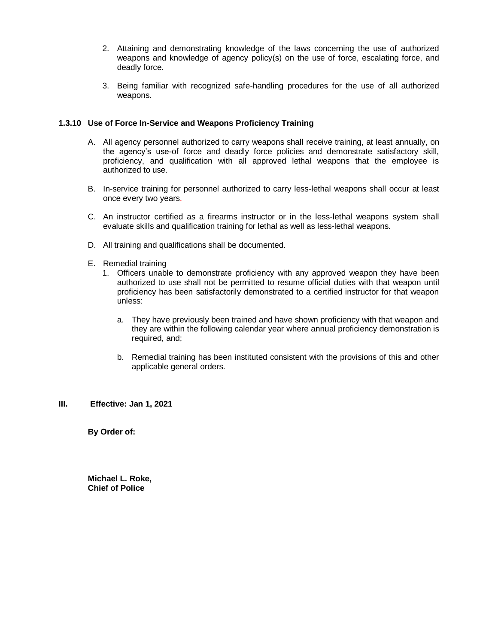- 2. Attaining and demonstrating knowledge of the laws concerning the use of authorized weapons and knowledge of agency policy(s) on the use of force, escalating force, and deadly force.
- 3. Being familiar with recognized safe-handling procedures for the use of all authorized weapons.

#### **1.3.10 Use of Force In-Service and Weapons Proficiency Training**

- A. All agency personnel authorized to carry weapons shall receive training, at least annually, on the agency's use-of force and deadly force policies and demonstrate satisfactory skill, proficiency, and qualification with all approved lethal weapons that the employee is authorized to use.
- B. In-service training for personnel authorized to carry less-lethal weapons shall occur at least once every two years.
- C. An instructor certified as a firearms instructor or in the less-lethal weapons system shall evaluate skills and qualification training for lethal as well as less-lethal weapons.
- D. All training and qualifications shall be documented.
- E. Remedial training
	- 1. Officers unable to demonstrate proficiency with any approved weapon they have been authorized to use shall not be permitted to resume official duties with that weapon until proficiency has been satisfactorily demonstrated to a certified instructor for that weapon unless:
		- a. They have previously been trained and have shown proficiency with that weapon and they are within the following calendar year where annual proficiency demonstration is required, and;
		- b. Remedial training has been instituted consistent with the provisions of this and other applicable general orders.

#### **III. Effective: Jan 1, 2021**

**By Order of:**

**Michael L. Roke, Chief of Police**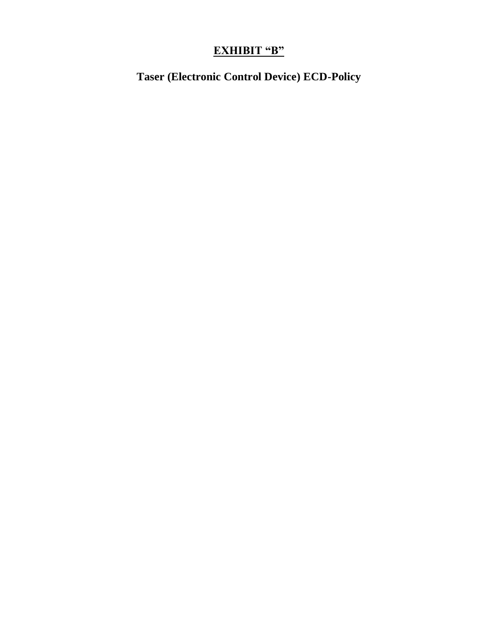# **EXHIBIT "B"**

**Taser (Electronic Control Device) ECD-Policy**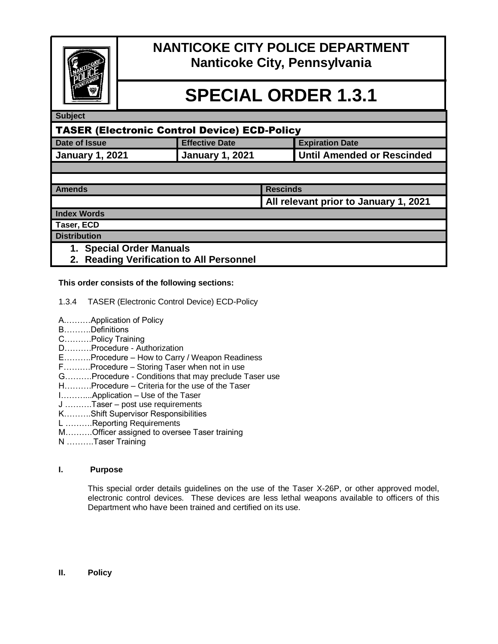

# **NANTICOKE CITY POLICE DEPARTMENT Nanticoke City, Pennsylvania**

# **SPECIAL ORDER 1.3.1**

#### **Subject**

| TASER (Electronic Control Device) ECD-Policy |                        |                            |  |
|----------------------------------------------|------------------------|----------------------------|--|
| Date of Issue                                | <b>Effective Date</b>  | <b>Expiration Date</b>     |  |
| <b>January 1, 2021</b>                       | <b>January 1, 2021</b> | Until Amended or Rescinded |  |
|                                              |                        |                            |  |

| <b>Amends</b> | Rescinds                              |
|---------------|---------------------------------------|
|               | All relevant prior to January 1, 2021 |

**Index Words**

**Taser, ECD**

- **Distribution**
	- **1. Special Order Manuals**
	- **2. Reading Verification to All Personnel**

#### **This order consists of the following sections:**

- 1.3.4 TASER (Electronic Control Device) ECD-Policy
- A.………Application of Policy
- B……….Definitions
- C……….Policy Training
- D……….Procedure Authorization
- E……….Procedure How to Carry / Weapon Readiness
- F……….Procedure Storing Taser when not in use
- G……….Procedure Conditions that may preclude Taser use
- H……….Procedure Criteria for the use of the Taser
- I………...Application Use of the Taser
- J ……….Taser post use requirements
- K……….Shift Supervisor Responsibilities
- L ……….Reporting Requirements
- M……….Officer assigned to oversee Taser training
- N ……….Taser Training

#### **I. Purpose**

This special order details guidelines on the use of the Taser X-26P, or other approved model, electronic control devices. These devices are less lethal weapons available to officers of this Department who have been trained and certified on its use.

#### **II. Policy**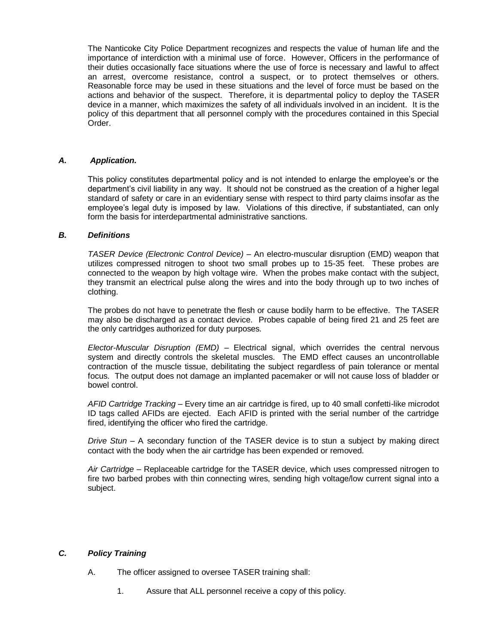The Nanticoke City Police Department recognizes and respects the value of human life and the importance of interdiction with a minimal use of force. However, Officers in the performance of their duties occasionally face situations where the use of force is necessary and lawful to affect an arrest, overcome resistance, control a suspect, or to protect themselves or others. Reasonable force may be used in these situations and the level of force must be based on the actions and behavior of the suspect. Therefore, it is departmental policy to deploy the TASER device in a manner, which maximizes the safety of all individuals involved in an incident. It is the policy of this department that all personnel comply with the procedures contained in this Special Order.

#### *A. Application.*

This policy constitutes departmental policy and is not intended to enlarge the employee's or the department's civil liability in any way. It should not be construed as the creation of a higher legal standard of safety or care in an evidentiary sense with respect to third party claims insofar as the employee's legal duty is imposed by law. Violations of this directive, if substantiated, can only form the basis for interdepartmental administrative sanctions.

#### *B. Definitions*

*TASER Device (Electronic Control Device)* – An electro-muscular disruption (EMD) weapon that utilizes compressed nitrogen to shoot two small probes up to 15-35 feet. These probes are connected to the weapon by high voltage wire. When the probes make contact with the subject, they transmit an electrical pulse along the wires and into the body through up to two inches of clothing.

The probes do not have to penetrate the flesh or cause bodily harm to be effective. The TASER may also be discharged as a contact device. Probes capable of being fired 21 and 25 feet are the only cartridges authorized for duty purposes.

*Elector-Muscular Disruption (EMD)* – Electrical signal, which overrides the central nervous system and directly controls the skeletal muscles. The EMD effect causes an uncontrollable contraction of the muscle tissue, debilitating the subject regardless of pain tolerance or mental focus. The output does not damage an implanted pacemaker or will not cause loss of bladder or bowel control.

*AFID Cartridge Tracking* – Every time an air cartridge is fired, up to 40 small confetti-like microdot ID tags called AFIDs are ejected. Each AFID is printed with the serial number of the cartridge fired, identifying the officer who fired the cartridge.

*Drive Stun* – A secondary function of the TASER device is to stun a subject by making direct contact with the body when the air cartridge has been expended or removed.

*Air Cartridge* – Replaceable cartridge for the TASER device, which uses compressed nitrogen to fire two barbed probes with thin connecting wires, sending high voltage/low current signal into a subject.

#### *C. Policy Training*

- A. The officer assigned to oversee TASER training shall:
	- 1. Assure that ALL personnel receive a copy of this policy.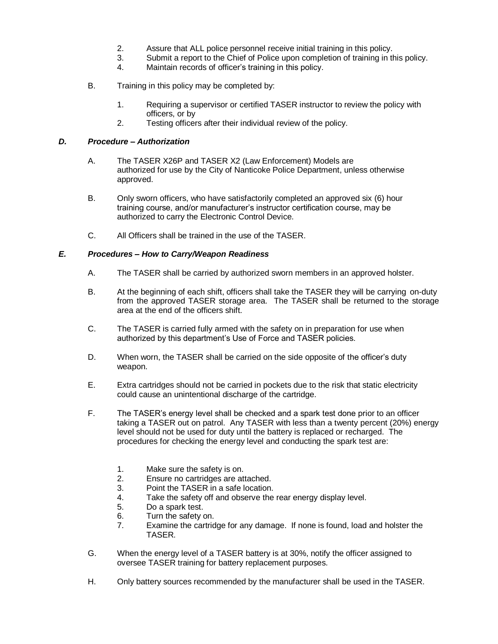- 2. Assure that ALL police personnel receive initial training in this policy.
- 3. Submit a report to the Chief of Police upon completion of training in this policy.
- 4. Maintain records of officer's training in this policy.
- B. Training in this policy may be completed by:
	- 1. Requiring a supervisor or certified TASER instructor to review the policy with officers, or by
	- 2. Testing officers after their individual review of the policy.

#### *D. Procedure – Authorization*

- A. The TASER X26P and TASER X2 (Law Enforcement) Models are authorized for use by the City of Nanticoke Police Department, unless otherwise approved.
- B. Only sworn officers, who have satisfactorily completed an approved six (6) hour training course, and/or manufacturer's instructor certification course, may be authorized to carry the Electronic Control Device.
- C. All Officers shall be trained in the use of the TASER.

#### *E. Procedures – How to Carry/Weapon Readiness*

- A. The TASER shall be carried by authorized sworn members in an approved holster.
- B. At the beginning of each shift, officers shall take the TASER they will be carrying on-duty from the approved TASER storage area. The TASER shall be returned to the storage area at the end of the officers shift.
- C. The TASER is carried fully armed with the safety on in preparation for use when authorized by this department's Use of Force and TASER policies.
- D. When worn, the TASER shall be carried on the side opposite of the officer's duty weapon.
- E. Extra cartridges should not be carried in pockets due to the risk that static electricity could cause an unintentional discharge of the cartridge.
- F. The TASER's energy level shall be checked and a spark test done prior to an officer taking a TASER out on patrol. Any TASER with less than a twenty percent (20%) energy level should not be used for duty until the battery is replaced or recharged. The procedures for checking the energy level and conducting the spark test are:
	- 1. Make sure the safety is on.
	- 2. Ensure no cartridges are attached.
	- 3. Point the TASER in a safe location.
	- 4. Take the safety off and observe the rear energy display level.
	- 5. Do a spark test.
	- 6. Turn the safety on.
	- 7. Examine the cartridge for any damage. If none is found, load and holster the TASER.
- G. When the energy level of a TASER battery is at 30%, notify the officer assigned to oversee TASER training for battery replacement purposes.
- H. Only battery sources recommended by the manufacturer shall be used in the TASER.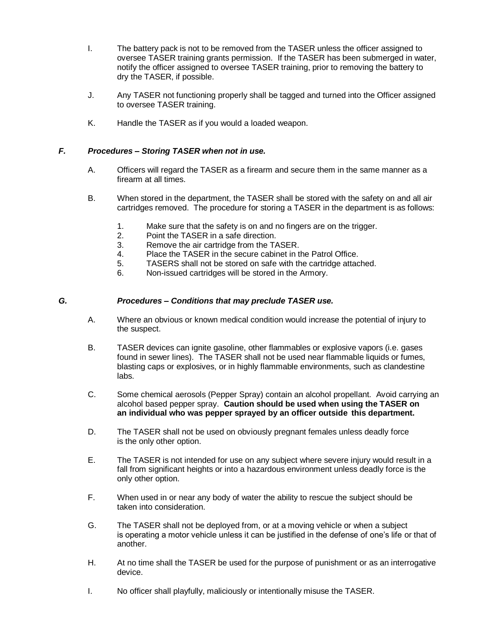- I. The battery pack is not to be removed from the TASER unless the officer assigned to oversee TASER training grants permission. If the TASER has been submerged in water, notify the officer assigned to oversee TASER training, prior to removing the battery to dry the TASER, if possible.
- J. Any TASER not functioning properly shall be tagged and turned into the Officer assigned to oversee TASER training.
- K. Handle the TASER as if you would a loaded weapon.

#### *F. Procedures – Storing TASER when not in use.*

- A. Officers will regard the TASER as a firearm and secure them in the same manner as a firearm at all times.
- B. When stored in the department, the TASER shall be stored with the safety on and all air cartridges removed. The procedure for storing a TASER in the department is as follows:
	- 1. Make sure that the safety is on and no fingers are on the trigger.
	- 2. Point the TASER in a safe direction.
	- 3. Remove the air cartridge from the TASER.
	- 4. Place the TASER in the secure cabinet in the Patrol Office.
	- 5. TASERS shall not be stored on safe with the cartridge attached.
	- 6. Non-issued cartridges will be stored in the Armory.

#### *G. Procedures – Conditions that may preclude TASER use.*

- A. Where an obvious or known medical condition would increase the potential of injury to the suspect.
- B. TASER devices can ignite gasoline, other flammables or explosive vapors (i.e. gases found in sewer lines). The TASER shall not be used near flammable liquids or fumes, blasting caps or explosives, or in highly flammable environments, such as clandestine labs.
- C. Some chemical aerosols (Pepper Spray) contain an alcohol propellant. Avoid carrying an alcohol based pepper spray. **Caution should be used when using the TASER on an individual who was pepper sprayed by an officer outside this department.**
- D. The TASER shall not be used on obviously pregnant females unless deadly force is the only other option.
- E. The TASER is not intended for use on any subject where severe injury would result in a fall from significant heights or into a hazardous environment unless deadly force is the only other option.
- F. When used in or near any body of water the ability to rescue the subject should be taken into consideration.
- G. The TASER shall not be deployed from, or at a moving vehicle or when a subject is operating a motor vehicle unless it can be justified in the defense of one's life or that of another.
- H. At no time shall the TASER be used for the purpose of punishment or as an interrogative device.
- I. No officer shall playfully, maliciously or intentionally misuse the TASER.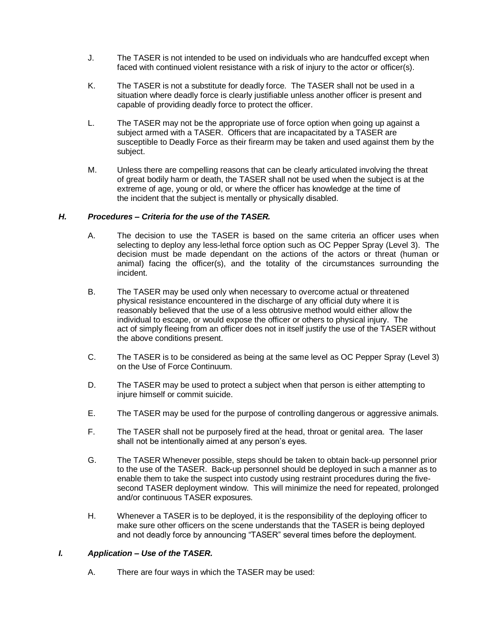- J. The TASER is not intended to be used on individuals who are handcuffed except when faced with continued violent resistance with a risk of injury to the actor or officer(s).
- K. The TASER is not a substitute for deadly force. The TASER shall not be used in a situation where deadly force is clearly justifiable unless another officer is present and capable of providing deadly force to protect the officer.
- L. The TASER may not be the appropriate use of force option when going up against a subject armed with a TASER. Officers that are incapacitated by a TASER are susceptible to Deadly Force as their firearm may be taken and used against them by the subject.
- M. Unless there are compelling reasons that can be clearly articulated involving the threat of great bodily harm or death, the TASER shall not be used when the subject is at the extreme of age, young or old, or where the officer has knowledge at the time of the incident that the subject is mentally or physically disabled.

#### *H. Procedures – Criteria for the use of the TASER.*

- A. The decision to use the TASER is based on the same criteria an officer uses when selecting to deploy any less-lethal force option such as OC Pepper Spray (Level 3). The decision must be made dependant on the actions of the actors or threat (human or animal) facing the officer(s), and the totality of the circumstances surrounding the incident.
- B. The TASER may be used only when necessary to overcome actual or threatened physical resistance encountered in the discharge of any official duty where it is reasonably believed that the use of a less obtrusive method would either allow the individual to escape, or would expose the officer or others to physical injury. The act of simply fleeing from an officer does not in itself justify the use of the TASER without the above conditions present.
- C. The TASER is to be considered as being at the same level as OC Pepper Spray (Level 3) on the Use of Force Continuum.
- D. The TASER may be used to protect a subject when that person is either attempting to injure himself or commit suicide.
- E. The TASER may be used for the purpose of controlling dangerous or aggressive animals.
- F. The TASER shall not be purposely fired at the head, throat or genital area. The laser shall not be intentionally aimed at any person's eyes.
- G. The TASER Whenever possible, steps should be taken to obtain back-up personnel prior to the use of the TASER. Back-up personnel should be deployed in such a manner as to enable them to take the suspect into custody using restraint procedures during the fivesecond TASER deployment window. This will minimize the need for repeated, prolonged and/or continuous TASER exposures.
- H. Whenever a TASER is to be deployed, it is the responsibility of the deploying officer to make sure other officers on the scene understands that the TASER is being deployed and not deadly force by announcing "TASER" several times before the deployment.

#### *I. Application – Use of the TASER.*

A. There are four ways in which the TASER may be used: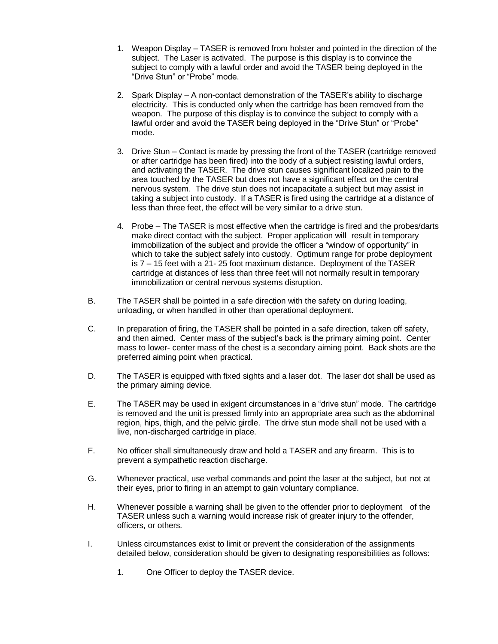- 1. Weapon Display TASER is removed from holster and pointed in the direction of the subject. The Laser is activated. The purpose is this display is to convince the subject to comply with a lawful order and avoid the TASER being deployed in the "Drive Stun" or "Probe" mode.
- 2. Spark Display A non-contact demonstration of the TASER's ability to discharge electricity. This is conducted only when the cartridge has been removed from the weapon. The purpose of this display is to convince the subject to comply with a lawful order and avoid the TASER being deployed in the "Drive Stun" or "Probe" mode.
- 3. Drive Stun Contact is made by pressing the front of the TASER (cartridge removed or after cartridge has been fired) into the body of a subject resisting lawful orders, and activating the TASER. The drive stun causes significant localized pain to the area touched by the TASER but does not have a significant effect on the central nervous system. The drive stun does not incapacitate a subject but may assist in taking a subject into custody. If a TASER is fired using the cartridge at a distance of less than three feet, the effect will be very similar to a drive stun.
- 4. Probe The TASER is most effective when the cartridge is fired and the probes/darts make direct contact with the subject. Proper application will result in temporary immobilization of the subject and provide the officer a "window of opportunity" in which to take the subject safely into custody. Optimum range for probe deployment is 7 – 15 feet with a 21- 25 foot maximum distance. Deployment of the TASER cartridge at distances of less than three feet will not normally result in temporary immobilization or central nervous systems disruption.
- B. The TASER shall be pointed in a safe direction with the safety on during loading, unloading, or when handled in other than operational deployment.
- C. In preparation of firing, the TASER shall be pointed in a safe direction, taken off safety, and then aimed. Center mass of the subject's back is the primary aiming point. Center mass to lower- center mass of the chest is a secondary aiming point. Back shots are the preferred aiming point when practical.
- D. The TASER is equipped with fixed sights and a laser dot. The laser dot shall be used as the primary aiming device.
- E. The TASER may be used in exigent circumstances in a "drive stun" mode. The cartridge is removed and the unit is pressed firmly into an appropriate area such as the abdominal region, hips, thigh, and the pelvic girdle. The drive stun mode shall not be used with a live, non-discharged cartridge in place.
- F. No officer shall simultaneously draw and hold a TASER and any firearm. This is to prevent a sympathetic reaction discharge.
- G. Whenever practical, use verbal commands and point the laser at the subject, but not at their eyes, prior to firing in an attempt to gain voluntary compliance.
- H. Whenever possible a warning shall be given to the offender prior to deployment of the TASER unless such a warning would increase risk of greater injury to the offender, officers, or others.
- I. Unless circumstances exist to limit or prevent the consideration of the assignments detailed below, consideration should be given to designating responsibilities as follows:
	- 1. One Officer to deploy the TASER device.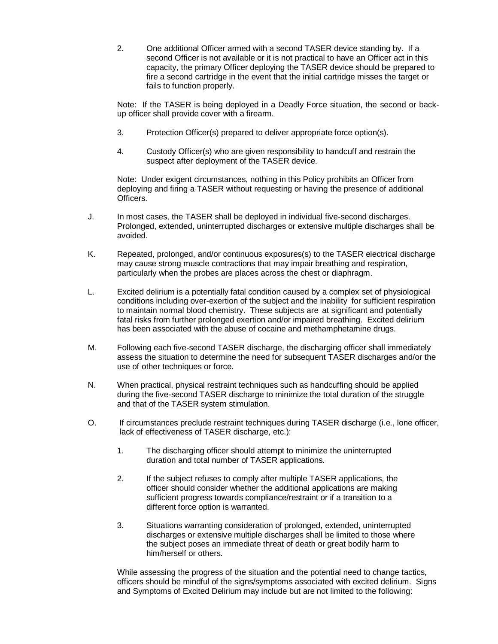2. One additional Officer armed with a second TASER device standing by. If a second Officer is not available or it is not practical to have an Officer act in this capacity, the primary Officer deploying the TASER device should be prepared to fire a second cartridge in the event that the initial cartridge misses the target or fails to function properly.

Note: If the TASER is being deployed in a Deadly Force situation, the second or backup officer shall provide cover with a firearm.

- 3. Protection Officer(s) prepared to deliver appropriate force option(s).
- 4. Custody Officer(s) who are given responsibility to handcuff and restrain the suspect after deployment of the TASER device.

Note: Under exigent circumstances, nothing in this Policy prohibits an Officer from deploying and firing a TASER without requesting or having the presence of additional Officers.

- J. In most cases, the TASER shall be deployed in individual five-second discharges. Prolonged, extended, uninterrupted discharges or extensive multiple discharges shall be avoided.
- K. Repeated, prolonged, and/or continuous exposures(s) to the TASER electrical discharge may cause strong muscle contractions that may impair breathing and respiration, particularly when the probes are places across the chest or diaphragm.
- L. Excited delirium is a potentially fatal condition caused by a complex set of physiological conditions including over-exertion of the subject and the inability for sufficient respiration to maintain normal blood chemistry. These subjects are at significant and potentially fatal risks from further prolonged exertion and/or impaired breathing. Excited delirium has been associated with the abuse of cocaine and methamphetamine drugs.
- M. Following each five-second TASER discharge, the discharging officer shall immediately assess the situation to determine the need for subsequent TASER discharges and/or the use of other techniques or force.
- N. When practical, physical restraint techniques such as handcuffing should be applied during the five-second TASER discharge to minimize the total duration of the struggle and that of the TASER system stimulation.
- O. If circumstances preclude restraint techniques during TASER discharge (i.e., lone officer, lack of effectiveness of TASER discharge, etc.):
	- 1. The discharging officer should attempt to minimize the uninterrupted duration and total number of TASER applications.
	- 2. If the subject refuses to comply after multiple TASER applications, the officer should consider whether the additional applications are making sufficient progress towards compliance/restraint or if a transition to a different force option is warranted.
	- 3. Situations warranting consideration of prolonged, extended, uninterrupted discharges or extensive multiple discharges shall be limited to those where the subject poses an immediate threat of death or great bodily harm to him/herself or others.

While assessing the progress of the situation and the potential need to change tactics, officers should be mindful of the signs/symptoms associated with excited delirium. Signs and Symptoms of Excited Delirium may include but are not limited to the following: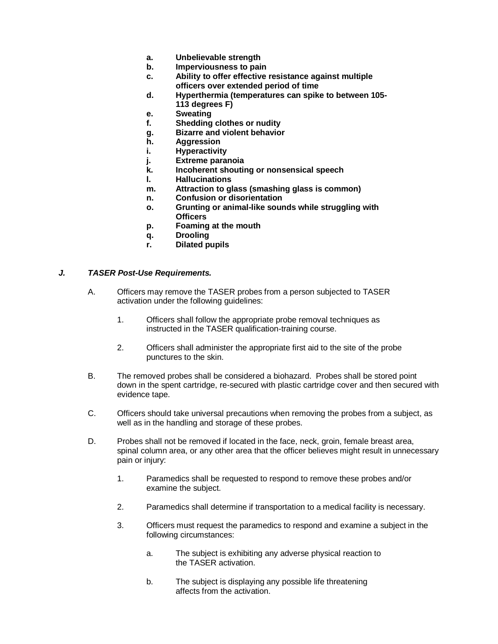- **a. Unbelievable strength**
- **b. Imperviousness to pain**
- **c. Ability to offer effective resistance against multiple officers over extended period of time**
- **d. Hyperthermia (temperatures can spike to between 105- 113 degrees F)**
- **e. Sweating**
- **f. Shedding clothes or nudity**
- **g. Bizarre and violent behavior**
- **h. Aggression**
- **i. Hyperactivity**
- **j. Extreme paranoia**
- **k. Incoherent shouting or nonsensical speech**
- **l. Hallucinations**
- **m. Attraction to glass (smashing glass is common)**
- **n. Confusion or disorientation**
- **o. Grunting or animal-like sounds while struggling with Officers**
- **p. Foaming at the mouth**
- **q. Drooling**
- **r. Dilated pupils**

#### *J. TASER Post-Use Requirements.*

- A. Officers may remove the TASER probes from a person subjected to TASER activation under the following guidelines:
	- 1. Officers shall follow the appropriate probe removal techniques as instructed in the TASER qualification-training course.
	- 2. Officers shall administer the appropriate first aid to the site of the probe punctures to the skin.
- B. The removed probes shall be considered a biohazard. Probes shall be stored point down in the spent cartridge, re-secured with plastic cartridge cover and then secured with evidence tape.
- C. Officers should take universal precautions when removing the probes from a subject, as well as in the handling and storage of these probes.
- D. Probes shall not be removed if located in the face, neck, groin, female breast area, spinal column area, or any other area that the officer believes might result in unnecessary pain or injury:
	- 1. Paramedics shall be requested to respond to remove these probes and/or examine the subject.
	- 2. Paramedics shall determine if transportation to a medical facility is necessary.
	- 3. Officers must request the paramedics to respond and examine a subject in the following circumstances:
		- a. The subject is exhibiting any adverse physical reaction to the TASER activation.
		- b. The subject is displaying any possible life threatening affects from the activation.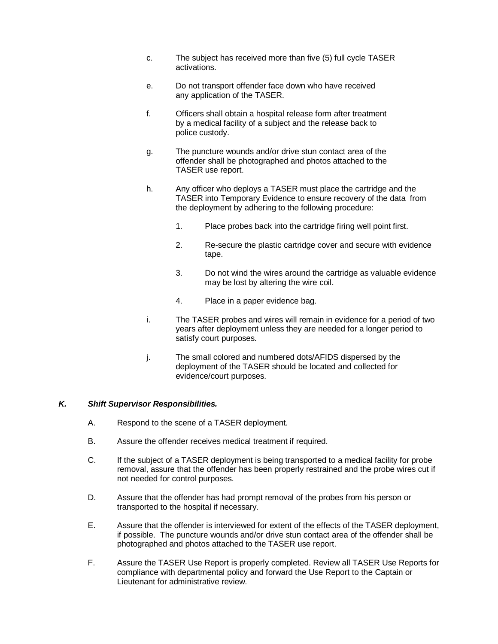- c. The subject has received more than five (5) full cycle TASER activations.
- e. Do not transport offender face down who have received any application of the TASER.
- f. Officers shall obtain a hospital release form after treatment by a medical facility of a subject and the release back to police custody.
- g. The puncture wounds and/or drive stun contact area of the offender shall be photographed and photos attached to the TASER use report.
- h. Any officer who deploys a TASER must place the cartridge and the TASER into Temporary Evidence to ensure recovery of the data from the deployment by adhering to the following procedure:
	- 1. Place probes back into the cartridge firing well point first.
	- 2. Re-secure the plastic cartridge cover and secure with evidence tape.
	- 3. Do not wind the wires around the cartridge as valuable evidence may be lost by altering the wire coil.
	- 4. Place in a paper evidence bag.
- i. The TASER probes and wires will remain in evidence for a period of two years after deployment unless they are needed for a longer period to satisfy court purposes.
- j. The small colored and numbered dots/AFIDS dispersed by the deployment of the TASER should be located and collected for evidence/court purposes.

#### *K. Shift Supervisor Responsibilities.*

- A. Respond to the scene of a TASER deployment.
- B. Assure the offender receives medical treatment if required.
- C. If the subject of a TASER deployment is being transported to a medical facility for probe removal, assure that the offender has been properly restrained and the probe wires cut if not needed for control purposes.
- D. Assure that the offender has had prompt removal of the probes from his person or transported to the hospital if necessary.
- E. Assure that the offender is interviewed for extent of the effects of the TASER deployment, if possible. The puncture wounds and/or drive stun contact area of the offender shall be photographed and photos attached to the TASER use report.
- F. Assure the TASER Use Report is properly completed. Review all TASER Use Reports for compliance with departmental policy and forward the Use Report to the Captain or Lieutenant for administrative review.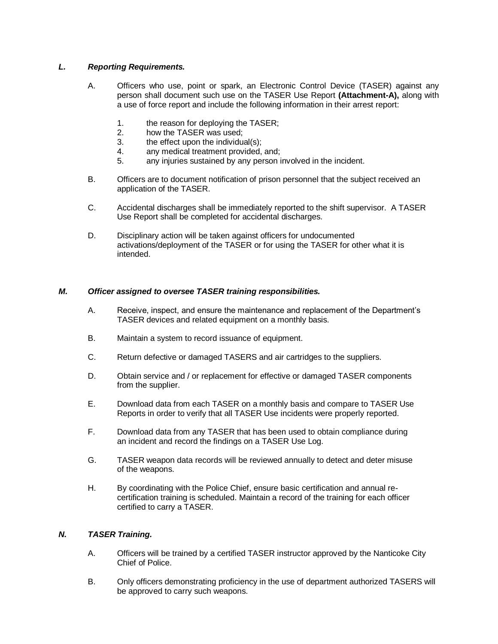#### *L. Reporting Requirements.*

- A. Officers who use, point or spark, an Electronic Control Device (TASER) against any person shall document such use on the TASER Use Report **(Attachment-A),** along with a use of force report and include the following information in their arrest report:
	- 1. the reason for deploying the TASER;
	- 2. how the TASER was used;
	- 3. the effect upon the individual(s);
	- 4. any medical treatment provided, and;<br>5. any iniuries sustained by any person i
	- any injuries sustained by any person involved in the incident.
- B. Officers are to document notification of prison personnel that the subject received an application of the TASER.
- C. Accidental discharges shall be immediately reported to the shift supervisor. A TASER Use Report shall be completed for accidental discharges.
- D. Disciplinary action will be taken against officers for undocumented activations/deployment of the TASER or for using the TASER for other what it is intended.

#### *M. Officer assigned to oversee TASER training responsibilities.*

- A. Receive, inspect, and ensure the maintenance and replacement of the Department's TASER devices and related equipment on a monthly basis.
- B. Maintain a system to record issuance of equipment.
- C. Return defective or damaged TASERS and air cartridges to the suppliers.
- D. Obtain service and / or replacement for effective or damaged TASER components from the supplier.
- E. Download data from each TASER on a monthly basis and compare to TASER Use Reports in order to verify that all TASER Use incidents were properly reported.
- F. Download data from any TASER that has been used to obtain compliance during an incident and record the findings on a TASER Use Log.
- G. TASER weapon data records will be reviewed annually to detect and deter misuse of the weapons.
- H. By coordinating with the Police Chief, ensure basic certification and annual recertification training is scheduled. Maintain a record of the training for each officer certified to carry a TASER.

#### *N. TASER Training.*

- A. Officers will be trained by a certified TASER instructor approved by the Nanticoke City Chief of Police.
- B. Only officers demonstrating proficiency in the use of department authorized TASERS will be approved to carry such weapons.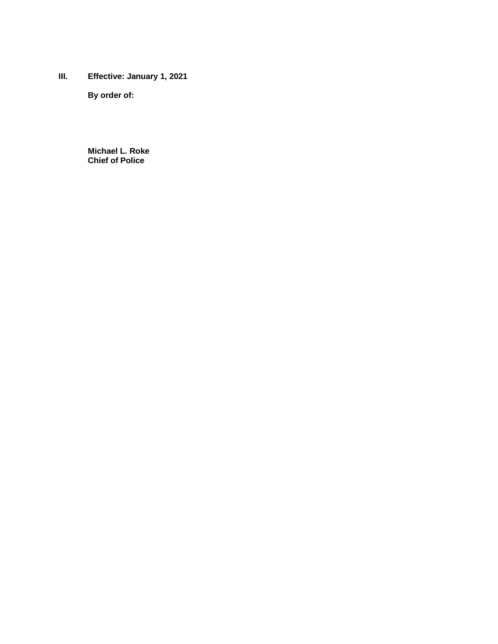**III. Effective: January 1, 2021**

**By order of:**

**Michael L. Roke Chief of Police**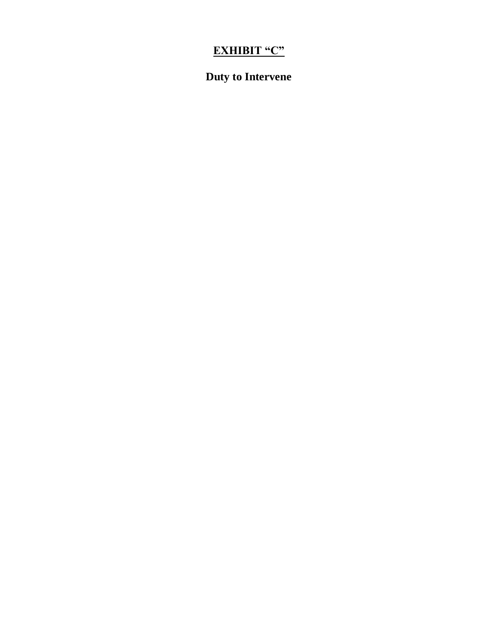# **EXHIBIT "C"**

# **Duty to Intervene**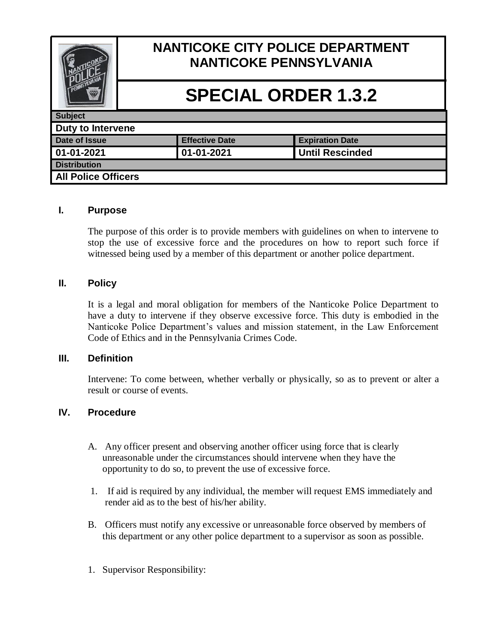

### **I. Purpose**

The purpose of this order is to provide members with guidelines on when to intervene to stop the use of excessive force and the procedures on how to report such force if witnessed being used by a member of this department or another police department.

### **II. Policy**

It is a legal and moral obligation for members of the Nanticoke Police Department to have a duty to intervene if they observe excessive force. This duty is embodied in the Nanticoke Police Department's values and mission statement, in the Law Enforcement Code of Ethics and in the Pennsylvania Crimes Code.

### **III. Definition**

Intervene: To come between, whether verbally or physically, so as to prevent or alter a result or course of events.

### **IV. Procedure**

- A. Any officer present and observing another officer using force that is clearly unreasonable under the circumstances should intervene when they have the opportunity to do so, to prevent the use of excessive force.
- 1. If aid is required by any individual, the member will request EMS immediately and render aid as to the best of his/her ability.
- B. Officers must notify any excessive or unreasonable force observed by members of this department or any other police department to a supervisor as soon as possible.
- 1. Supervisor Responsibility: